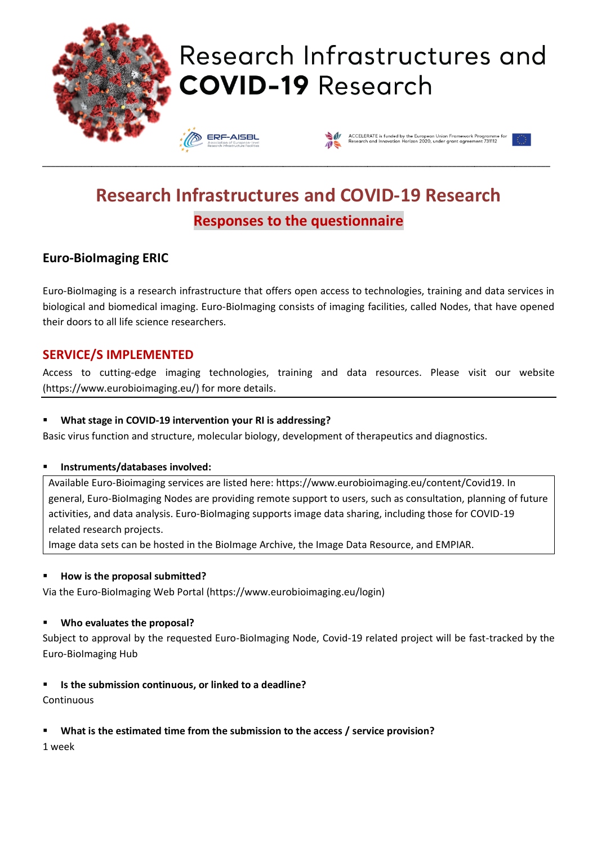

# Research Infrastructures and **COVID-19 Research**

**ERF-AISBL** 



# **Research Infrastructures and COVID-19 Research Responses to the questionnaire**

\_\_\_\_\_\_\_\_\_\_\_\_\_\_\_\_\_\_\_\_\_\_\_\_\_\_\_\_\_\_\_\_\_\_\_\_\_\_\_\_\_\_\_\_\_\_\_\_\_\_\_\_\_\_\_\_\_\_\_\_\_\_\_\_\_\_\_\_\_\_\_\_\_\_\_\_\_\_\_\_\_\_\_\_\_\_\_\_\_\_\_\_\_\_\_\_\_\_\_\_\_\_\_\_\_\_\_\_\_\_\_\_\_\_

# **Euro-BioImaging ERIC**

Euro-BioImaging is a research infrastructure that offers open access to technologies, training and data services in biological and biomedical imaging. Euro-BioImaging consists of imaging facilities, called Nodes, that have opened their doors to all life science researchers.

### **SERVICE/S IMPLEMENTED**

Access to cutting-edge imaging technologies, training and data resources. Please visit our website (https://www.eurobioimaging.eu/) for more details.

#### What stage in COVID-19 intervention your RI is addressing?

Basic virus function and structure, molecular biology, development of therapeutics and diagnostics.

#### ▪ **Instruments/databases involved:**

Available Euro-Bioimaging services are listed here: https://www.eurobioimaging.eu/content/Covid19. In general, Euro-BioImaging Nodes are providing remote support to users, such as consultation, planning of future activities, and data analysis. Euro-BioImaging supports image data sharing, including those for COVID-19 related research projects.

Image data sets can be hosted in the BioImage Archive, the Image Data Resource, and EMPIAR.

#### ▪ **How is the proposal submitted?**

Via the Euro-BioImaging Web Portal (https://www.eurobioimaging.eu/login)

#### ▪ **Who evaluates the proposal?**

Subject to approval by the requested Euro-BioImaging Node, Covid-19 related project will be fast-tracked by the Euro-BioImaging Hub

#### ▪ **Is the submission continuous, or linked to a deadline?**

Continuous

#### ▪ **What is the estimated time from the submission to the access / service provision?**

1 week